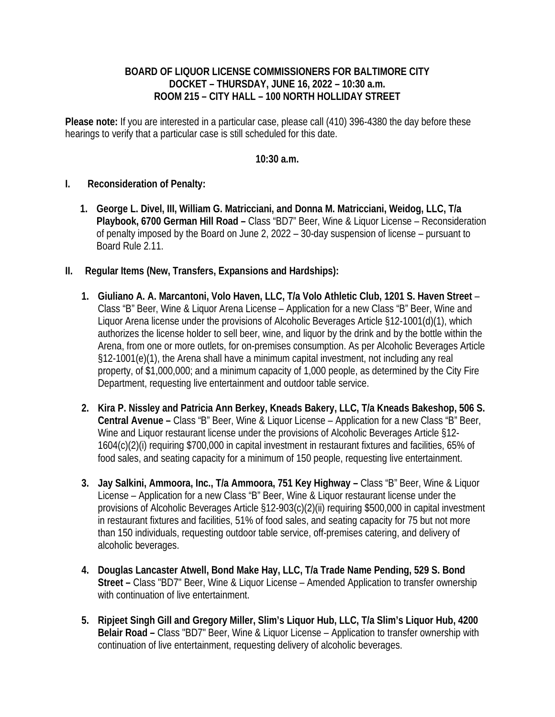## **BOARD OF LIQUOR LICENSE COMMISSIONERS FOR BALTIMORE CITY DOCKET – THURSDAY, JUNE 16, 2022 – 10:30 a.m. ROOM 215 – CITY HALL – 100 NORTH HOLLIDAY STREET**

**Please note:** If you are interested in a particular case, please call (410) 396-4380 the day before these hearings to verify that a particular case is still scheduled for this date.

## **10:30 a.m.**

## **I. Reconsideration of Penalty:**

- **1. George L. Divel, III, William G. Matricciani, and Donna M. Matricciani, Weidog, LLC, T/a Playbook, 6700 German Hill Road –** Class "BD7" Beer, Wine & Liquor License – Reconsideration of penalty imposed by the Board on June 2, 2022 – 30-day suspension of license – pursuant to Board Rule 2.11.
- **II. Regular Items (New, Transfers, Expansions and Hardships):**
	- **1. Giuliano A. A. Marcantoni, Volo Haven, LLC, T/a Volo Athletic Club, 1201 S. Haven Street**  Class "B" Beer, Wine & Liquor Arena License – Application for a new Class "B" Beer, Wine and Liquor Arena license under the provisions of Alcoholic Beverages Article §12-1001(d)(1), which authorizes the license holder to sell beer, wine, and liquor by the drink and by the bottle within the Arena, from one or more outlets, for on-premises consumption. As per Alcoholic Beverages Article §12-1001(e)(1), the Arena shall have a minimum capital investment, not including any real property, of \$1,000,000; and a minimum capacity of 1,000 people, as determined by the City Fire Department, requesting live entertainment and outdoor table service.
	- **2. Kira P. Nissley and Patricia Ann Berkey, Kneads Bakery, LLC, T/a Kneads Bakeshop, 506 S. Central Avenue –** Class "B" Beer, Wine & Liquor License – Application for a new Class "B" Beer, Wine and Liquor restaurant license under the provisions of Alcoholic Beverages Article §12- 1604(c)(2)(i) requiring \$700,000 in capital investment in restaurant fixtures and facilities, 65% of food sales, and seating capacity for a minimum of 150 people, requesting live entertainment.
	- **3. Jay Salkini, Ammoora, Inc., T/a Ammoora, 751 Key Highway** Class "B" Beer, Wine & Liquor License – Application for a new Class "B" Beer, Wine & Liquor restaurant license under the provisions of Alcoholic Beverages Article §12-903(c)(2)(ii) requiring \$500,000 in capital investment in restaurant fixtures and facilities, 51% of food sales, and seating capacity for 75 but not more than 150 individuals, requesting outdoor table service, off-premises catering, and delivery of alcoholic beverages.
	- **4. Douglas Lancaster Atwell, Bond Make Hay, LLC, T/a Trade Name Pending, 529 S. Bond Street –** Class "BD7" Beer, Wine & Liquor License – Amended Application to transfer ownership with continuation of live entertainment.
	- **5. Ripjeet Singh Gill and Gregory Miller, Slim's Liquor Hub, LLC, T/a Slim's Liquor Hub, 4200 Belair Road –** Class "BD7" Beer, Wine & Liquor License – Application to transfer ownership with continuation of live entertainment, requesting delivery of alcoholic beverages.